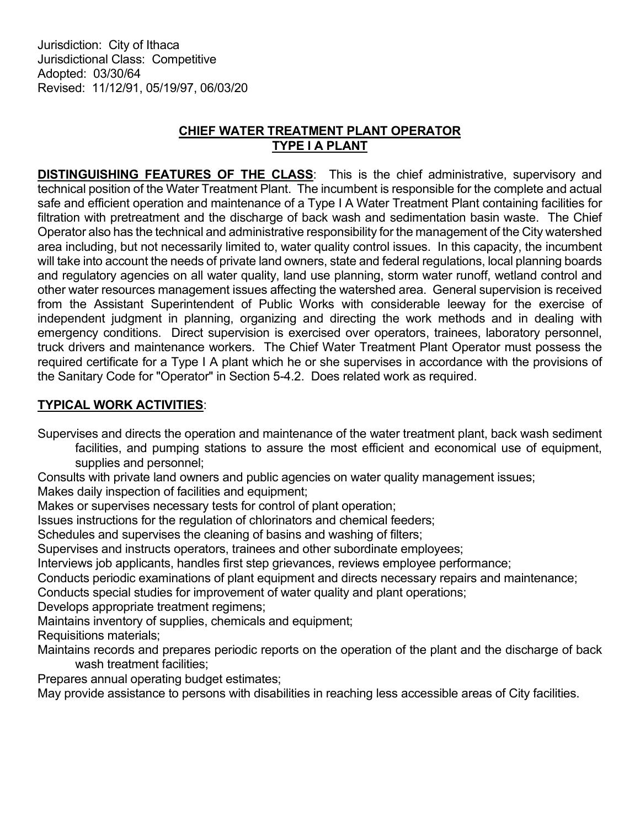Jurisdiction: City of Ithaca Jurisdictional Class: Competitive Adopted: 03/30/64 Revised: 11/12/91, 05/19/97, 06/03/20

## CHIEF WATER TREATMENT PLANT OPERATOR TYPE I A PLANT

DISTINGUISHING FEATURES OF THE CLASS: This is the chief administrative, supervisory and technical position of the Water Treatment Plant. The incumbent is responsible for the complete and actual safe and efficient operation and maintenance of a Type I A Water Treatment Plant containing facilities for filtration with pretreatment and the discharge of back wash and sedimentation basin waste. The Chief Operator also has the technical and administrative responsibility for the management of the City watershed area including, but not necessarily limited to, water quality control issues. In this capacity, the incumbent will take into account the needs of private land owners, state and federal regulations, local planning boards and regulatory agencies on all water quality, land use planning, storm water runoff, wetland control and other water resources management issues affecting the watershed area. General supervision is received from the Assistant Superintendent of Public Works with considerable leeway for the exercise of independent judgment in planning, organizing and directing the work methods and in dealing with emergency conditions. Direct supervision is exercised over operators, trainees, laboratory personnel, truck drivers and maintenance workers. The Chief Water Treatment Plant Operator must possess the required certificate for a Type I A plant which he or she supervises in accordance with the provisions of the Sanitary Code for "Operator" in Section 5-4.2. Does related work as required.

## TYPICAL WORK ACTIVITIES:

Supervises and directs the operation and maintenance of the water treatment plant, back wash sediment facilities, and pumping stations to assure the most efficient and economical use of equipment, supplies and personnel;

Consults with private land owners and public agencies on water quality management issues;

Makes daily inspection of facilities and equipment;

Makes or supervises necessary tests for control of plant operation;

Issues instructions for the regulation of chlorinators and chemical feeders;

Schedules and supervises the cleaning of basins and washing of filters;

Supervises and instructs operators, trainees and other subordinate employees;

Interviews job applicants, handles first step grievances, reviews employee performance;

Conducts periodic examinations of plant equipment and directs necessary repairs and maintenance;

Conducts special studies for improvement of water quality and plant operations;

Develops appropriate treatment regimens;

Maintains inventory of supplies, chemicals and equipment;

Requisitions materials;

Maintains records and prepares periodic reports on the operation of the plant and the discharge of back wash treatment facilities;

Prepares annual operating budget estimates;

May provide assistance to persons with disabilities in reaching less accessible areas of City facilities.